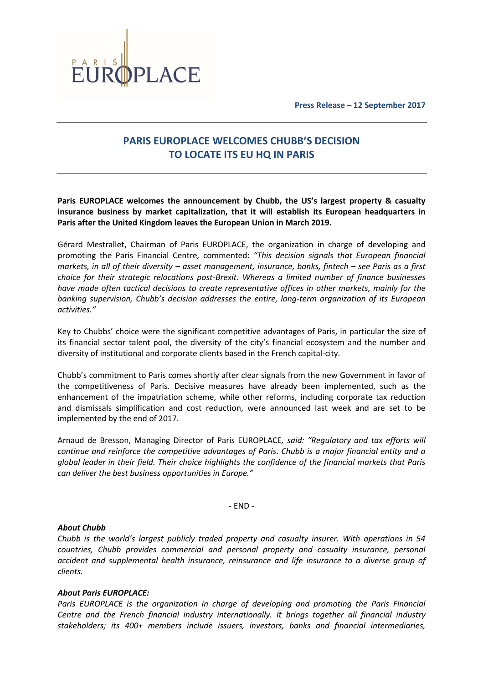

**Press Release – 12 September 2017**

## **PARIS EUROPLACE WELCOMES CHUBB'S DECISION TO LOCATE ITS EU HQ IN PARIS**

**Paris EUROPLACE welcomes the announcement by Chubb, the US's largest property & casualty insurance business by market capitalization, that it will establish its European headquarters in Paris after the United Kingdom leaves the European Union in March 2019.**

Gérard Mestrallet, Chairman of Paris EUROPLACE, the organization in charge of developing and promoting the Paris Financial Centre*,* commented: *"This decision signals that European financial markets, in all of their diversity – asset management, insurance, banks, fintech – see Paris as a first choice for their strategic relocations post-Brexit*. *Whereas a limited number of finance businesses have made often tactical decisions to create representative offices in other markets, mainly for the banking supervision, Chubb's decision addresses the entire, long-term organization of its European activities."*

Key to Chubbs' choice were the significant competitive advantages of Paris, in particular the size of its financial sector talent pool, the diversity of the city's financial ecosystem and the number and diversity of institutional and corporate clients based in the French capital-city.

Chubb's commitment to Paris comes shortly after clear signals from the new Government in favor of the competitiveness of Paris. Decisive measures have already been implemented, such as the enhancement of the impatriation scheme, while other reforms, including corporate tax reduction and dismissals simplification and cost reduction, were announced last week and are set to be implemented by the end of 2017.

Arnaud de Bresson, Managing Director of Paris EUROPLACE*, said: "Regulatory and tax efforts will continue and reinforce the competitive advantages of Paris*. *Chubb is a major financial entity and a global leader in their field. Their choice highlights the confidence of the financial markets that Paris can deliver the best business opportunities in Europe."*

- END -

## *About Chubb*

*Chubb is the world's largest publicly traded property and casualty insurer. With operations in 54 countries, Chubb provides commercial and personal property and casualty insurance, personal accident and supplemental health insurance, reinsurance and life insurance to a diverse group of clients.*

## *About Paris EUROPLACE:*

*Paris EUROPLACE is the organization in charge of developing and promoting the Paris Financial Centre and the French financial industry internationally. It brings together all financial industry stakeholders; its 400+ members include issuers, investors, banks and financial intermediaries,*